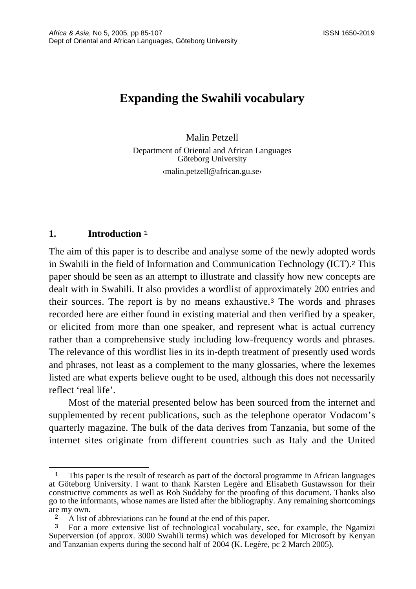# **Expanding the Swahili vocabulary**

Malin Petzell Department of Oriental and African Languages Göteborg University ‹malin.petzell@african.gu.se›

### **1. Introduction** <sup>1</sup>

The aim of this paper is to describe and analyse some of the newly adopted words in Swahili in the field of Information and Communication Technology (ICT).2 This paper should be seen as an attempt to illustrate and classify how new concepts are dealt with in Swahili. It also provides a wordlist of approximately 200 entries and their sources. The report is by no means exhaustive.3 The words and phrases recorded here are either found in existing material and then verified by a speaker, or elicited from more than one speaker, and represent what is actual currency rather than a comprehensive study including low-frequency words and phrases. The relevance of this wordlist lies in its in-depth treatment of presently used words and phrases, not least as a complement to the many glossaries, where the lexemes listed are what experts believe ought to be used, although this does not necessarily reflect 'real life'.

Most of the material presented below has been sourced from the internet and supplemented by recent publications, such as the telephone operator Vodacom's quarterly magazine. The bulk of the data derives from Tanzania, but some of the internet sites originate from different countries such as Italy and the United

<sup>1</sup> This paper is the result of research as part of the doctoral programme in African languages at Göteborg University. I want to thank Karsten Legère and Elisabeth Gustawsson for their constructive comments as well as Rob Suddaby for the proofing of this document. Thanks also go to the informants, whose names are listed after the bibliography. Any remaining shortcomings are my own.

<sup>2</sup> A list of abbreviations can be found at the end of this paper.

<sup>3</sup> For a more extensive list of technological vocabulary, see, for example, the Ngamizi Superversion (of approx. 3000 Swahili terms) which was developed for Microsoft by Kenyan and Tanzanian experts during the second half of 2004 (K. Legère, pc 2 March 2005).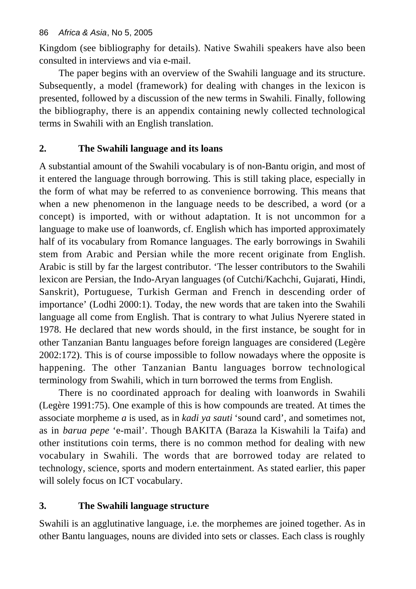Kingdom (see bibliography for details). Native Swahili speakers have also been consulted in interviews and via e-mail.

The paper begins with an overview of the Swahili language and its structure. Subsequently, a model (framework) for dealing with changes in the lexicon is presented, followed by a discussion of the new terms in Swahili. Finally, following the bibliography, there is an appendix containing newly collected technological terms in Swahili with an English translation.

# **2. The Swahili language and its loans**

A substantial amount of the Swahili vocabulary is of non-Bantu origin, and most of it entered the language through borrowing. This is still taking place, especially in the form of what may be referred to as convenience borrowing. This means that when a new phenomenon in the language needs to be described, a word (or a concept) is imported, with or without adaptation. It is not uncommon for a language to make use of loanwords, cf. English which has imported approximately half of its vocabulary from Romance languages. The early borrowings in Swahili stem from Arabic and Persian while the more recent originate from English. Arabic is still by far the largest contributor. 'The lesser contributors to the Swahili lexicon are Persian, the Indo-Aryan languages (of Cutchi/Kachchi, Gujarati, Hindi, Sanskrit), Portuguese, Turkish German and French in descending order of importance' (Lodhi 2000:1). Today, the new words that are taken into the Swahili language all come from English. That is contrary to what Julius Nyerere stated in 1978. He declared that new words should, in the first instance, be sought for in other Tanzanian Bantu languages before foreign languages are considered (Legère 2002:172). This is of course impossible to follow nowadays where the opposite is happening. The other Tanzanian Bantu languages borrow technological terminology from Swahili, which in turn borrowed the terms from English.

There is no coordinated approach for dealing with loanwords in Swahili (Legère 1991:75). One example of this is how compounds are treated. At times the associate morpheme *a* is used, as in *kadi ya sauti* 'sound card', and sometimes not, as in *barua pepe* 'e-mail'. Though BAKITA (Baraza la Kiswahili la Taifa) and other institutions coin terms, there is no common method for dealing with new vocabulary in Swahili. The words that are borrowed today are related to technology, science, sports and modern entertainment. As stated earlier, this paper will solely focus on ICT vocabulary.

# **3. The Swahili language structure**

Swahili is an agglutinative language, i.e. the morphemes are joined together. As in other Bantu languages, nouns are divided into sets or classes. Each class is roughly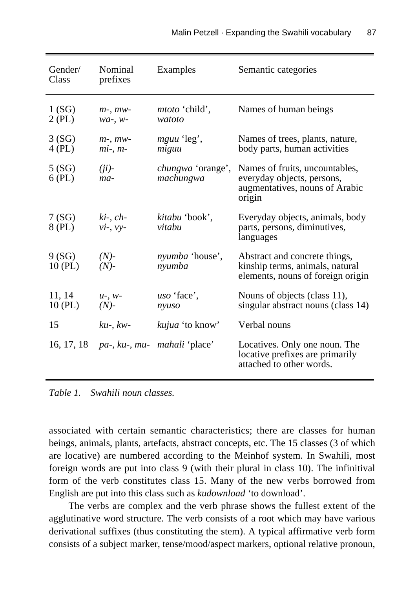| Gender/<br>Class    | Nominal<br>prefixes              | Examples                                       | Semantic categories                                                                                      |
|---------------------|----------------------------------|------------------------------------------------|----------------------------------------------------------------------------------------------------------|
| 1(SG)<br>$2$ (PL)   | $m$ -, $mw$ -<br>$wa$ -, $w$ -   | <i>mtoto</i> 'child',<br>watoto                | Names of human beings                                                                                    |
| 3(SG)<br>$4$ (PL)   | $m$ -, $mw$ -<br>$mi$ -, $m$ -   | <i>mguu</i> 'leg',<br>miguu                    | Names of trees, plants, nature,<br>body parts, human activities                                          |
| 5(SG)<br>$6$ (PL)   | $(jii)$ -<br>$ma-$               | <i>chungwa</i> 'orange',<br>machungwa          | Names of fruits, uncountables,<br>everyday objects, persons,<br>augmentatives, nouns of Arabic<br>origin |
| 7(SG)<br>8 (PL)     | $ki$ -, $ch$ -<br>$vi$ -, $vy$ - | kitabu 'book',<br>vitabu                       | Everyday objects, animals, body<br>parts, persons, diminutives,<br>languages                             |
| 9(SG)<br>$10$ (PL)  | $(N)$ -<br>$(N)$ -               | <i>nyumba</i> 'house',<br>nyumba               | Abstract and concrete things,<br>kinship terms, animals, natural<br>elements, nouns of foreign origin    |
| 11, 14<br>$10$ (PL) | $u-$ , $w-$<br>$(N)$ -           | uso 'face',<br>nyuso                           | Nouns of objects (class 11),<br>singular abstract nouns (class 14)                                       |
| 15                  | $ku$ -, $kw$ -                   | <i>kujua</i> 'to know'                         | Verbal nouns                                                                                             |
|                     |                                  | 16, 17, 18 <i>pa-, ku-, mu- mahali</i> 'place' | Locatives. Only one noun. The<br>locative prefixes are primarily<br>attached to other words.             |

*Table 1. Swahili noun classes.*

associated with certain semantic characteristics; there are classes for human beings, animals, plants, artefacts, abstract concepts, etc. The 15 classes (3 of which are locative) are numbered according to the Meinhof system. In Swahili, most foreign words are put into class 9 (with their plural in class 10). The infinitival form of the verb constitutes class 15. Many of the new verbs borrowed from English are put into this class such as *kudownload* 'to download'.

The verbs are complex and the verb phrase shows the fullest extent of the agglutinative word structure. The verb consists of a root which may have various derivational suffixes (thus constituting the stem). A typical affirmative verb form consists of a subject marker, tense/mood/aspect markers, optional relative pronoun,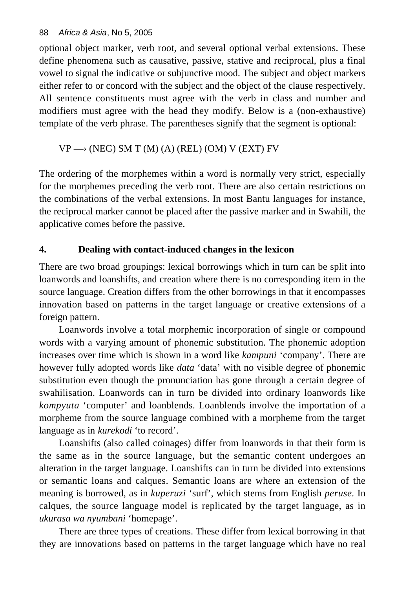optional object marker, verb root, and several optional verbal extensions. These define phenomena such as causative, passive, stative and reciprocal, plus a final vowel to signal the indicative or subjunctive mood. The subject and object markers either refer to or concord with the subject and the object of the clause respectively. All sentence constituents must agree with the verb in class and number and modifiers must agree with the head they modify. Below is a (non-exhaustive) template of the verb phrase. The parentheses signify that the segment is optional:

 $VP \longrightarrow (NEG) SM T (M) (A) (REL) (OM) V (EXT) FV$ 

The ordering of the morphemes within a word is normally very strict, especially for the morphemes preceding the verb root. There are also certain restrictions on the combinations of the verbal extensions. In most Bantu languages for instance, the reciprocal marker cannot be placed after the passive marker and in Swahili, the applicative comes before the passive.

# **4. Dealing with contact-induced changes in the lexicon**

There are two broad groupings: lexical borrowings which in turn can be split into loanwords and loanshifts, and creation where there is no corresponding item in the source language. Creation differs from the other borrowings in that it encompasses innovation based on patterns in the target language or creative extensions of a foreign pattern.

Loanwords involve a total morphemic incorporation of single or compound words with a varying amount of phonemic substitution. The phonemic adoption increases over time which is shown in a word like *kampuni* 'company'. There are however fully adopted words like *data* 'data' with no visible degree of phonemic substitution even though the pronunciation has gone through a certain degree of swahilisation. Loanwords can in turn be divided into ordinary loanwords like *kompyuta* 'computer' and loanblends. Loanblends involve the importation of a morpheme from the source language combined with a morpheme from the target language as in *kurekodi* 'to record'.

Loanshifts (also called coinages) differ from loanwords in that their form is the same as in the source language, but the semantic content undergoes an alteration in the target language. Loanshifts can in turn be divided into extensions or semantic loans and calques. Semantic loans are where an extension of the meaning is borrowed, as in *kuperuzi* 'surf', which stems from English *peruse*. In calques, the source language model is replicated by the target language, as in *ukurasa wa nyumbani* 'homepage'.

There are three types of creations. These differ from lexical borrowing in that they are innovations based on patterns in the target language which have no real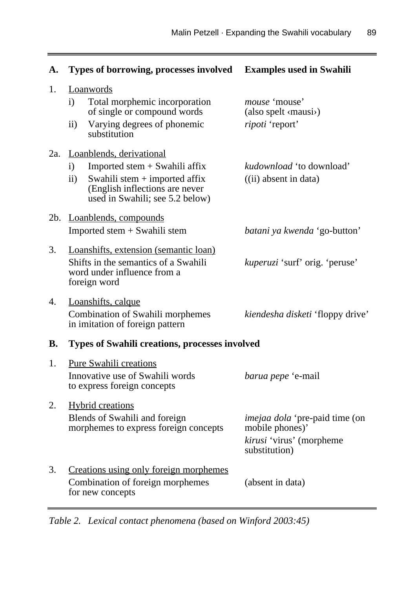# **A. Types of borrowing, processes involved Examples used in Swahili**

| 1.  |                                                                                                                                                                | Loanwords                                                                                            |                                                                                             |  |  |  |
|-----|----------------------------------------------------------------------------------------------------------------------------------------------------------------|------------------------------------------------------------------------------------------------------|---------------------------------------------------------------------------------------------|--|--|--|
|     | $\mathbf{i}$                                                                                                                                                   | Total morphemic incorporation<br>of single or compound words                                         | <i>mouse</i> 'mouse'<br>$(also$ spelt $\langle \text{mausi}\rangle$                         |  |  |  |
|     | $\rm ii)$                                                                                                                                                      | Varying degrees of phonemic<br>substitution                                                          | ripoti 'report'                                                                             |  |  |  |
| 2a. |                                                                                                                                                                | Loanblends, derivational                                                                             |                                                                                             |  |  |  |
|     | $\mathbf{i}$                                                                                                                                                   | Imported stem $+$ Swahili affix                                                                      | <i>kudownload</i> 'to download'                                                             |  |  |  |
|     | $\mathbf{ii}$                                                                                                                                                  | Swahili stem $+$ imported affix<br>(English inflections are never<br>used in Swahili; see 5.2 below) | $(iii)$ absent in data)                                                                     |  |  |  |
|     |                                                                                                                                                                | 2b. Loanblends, compounds                                                                            |                                                                                             |  |  |  |
|     | Imported $stem + Swahili$ stem                                                                                                                                 |                                                                                                      | <i>batani ya kwenda</i> 'go-button'                                                         |  |  |  |
| 3.  | Loanshifts, extension (semantic loan)<br>Shifts in the semantics of a Swahili<br>kuperuzi 'surf' orig. 'peruse'<br>word under influence from a<br>foreign word |                                                                                                      |                                                                                             |  |  |  |
| 4.  | Loanshifts, calque<br><b>Combination of Swahili morphemes</b><br>in imitation of foreign pattern                                                               |                                                                                                      | <i>kiendesha disketi</i> 'floppy drive'                                                     |  |  |  |
| В.  | <b>Types of Swahili creations, processes involved</b>                                                                                                          |                                                                                                      |                                                                                             |  |  |  |
| 1.  |                                                                                                                                                                | <b>Pure Swahili creations</b><br>Innovative use of Swahili words<br>to express foreign concepts      | <i>barua pepe</i> 'e-mail                                                                   |  |  |  |
| 2.  |                                                                                                                                                                | <b>Hybrid creations</b><br>Blends of Swahili and foreign<br>morphemes to express foreign concepts    | <i>imejaa dola</i> 'pre-paid time (on<br>mobile phones)'<br><i>kirusi</i> 'virus' (morpheme |  |  |  |
|     |                                                                                                                                                                |                                                                                                      | substitution)                                                                               |  |  |  |
| 3.  |                                                                                                                                                                | <b>Creations using only foreign morphemes</b>                                                        |                                                                                             |  |  |  |
|     |                                                                                                                                                                | Combination of foreign morphemes<br>for new concepts                                                 | (absent in data)                                                                            |  |  |  |

*Table 2. Lexical contact phenomena (based on Winford 2003:45)*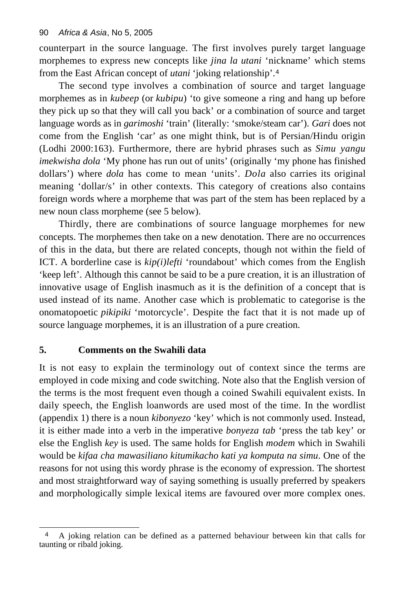counterpart in the source language. The first involves purely target language morphemes to express new concepts like *jina la utani* 'nickname' which stems from the East African concept of *utani* 'joking relationship'.<sup>4</sup>

The second type involves a combination of source and target language morphemes as in *kubeep* (or *kubipu*) 'to give someone a ring and hang up before they pick up so that they will call you back' or a combination of source and target language words as in *garimoshi* 'train' (literally: 'smoke/steam car'). *Gari* does not come from the English 'car' as one might think, but is of Persian/Hindu origin (Lodhi 2000:163). Furthermore, there are hybrid phrases such as *Simu yangu imekwisha dola* 'My phone has run out of units' (originally 'my phone has finished dollars') where *dola* has come to mean 'units'. *Dola* also carries its original meaning 'dollar/s' in other contexts. This category of creations also contains foreign words where a morpheme that was part of the stem has been replaced by a new noun class morpheme (see 5 below).

Thirdly, there are combinations of source language morphemes for new concepts. The morphemes then take on a new denotation. There are no occurrences of this in the data, but there are related concepts, though not within the field of ICT. A borderline case is *kip(i)lefti* 'roundabout' which comes from the English 'keep left'. Although this cannot be said to be a pure creation, it is an illustration of innovative usage of English inasmuch as it is the definition of a concept that is used instead of its name. Another case which is problematic to categorise is the onomatopoetic *pikipiki* 'motorcycle'. Despite the fact that it is not made up of source language morphemes, it is an illustration of a pure creation.

## **5. Comments on the Swahili data**

It is not easy to explain the terminology out of context since the terms are employed in code mixing and code switching. Note also that the English version of the terms is the most frequent even though a coined Swahili equivalent exists. In daily speech, the English loanwords are used most of the time. In the wordlist (appendix 1) there is a noun *kibonyezo* 'key' which is not commonly used. Instead, it is either made into a verb in the imperative *bonyeza tab* 'press the tab key' or else the English *key* is used. The same holds for English *modem* which in Swahili would be *kifaa cha mawasiliano kitumikacho kati ya komputa na simu*. One of the reasons for not using this wordy phrase is the economy of expression. The shortest and most straightforward way of saying something is usually preferred by speakers and morphologically simple lexical items are favoured over more complex ones.

<sup>4</sup> A joking relation can be defined as a patterned behaviour between kin that calls for taunting or ribald joking.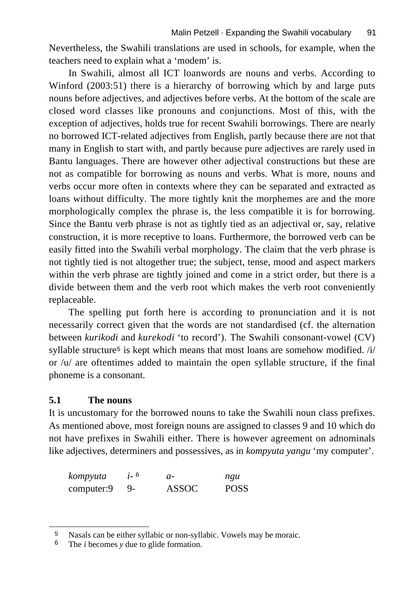Nevertheless, the Swahili translations are used in schools, for example, when the teachers need to explain what a 'modem' is.

In Swahili, almost all ICT loanwords are nouns and verbs. According to Winford (2003:51) there is a hierarchy of borrowing which by and large puts nouns before adjectives, and adjectives before verbs. At the bottom of the scale are closed word classes like pronouns and conjunctions. Most of this, with the exception of adjectives, holds true for recent Swahili borrowings. There are nearly no borrowed ICT-related adjectives from English, partly because there are not that many in English to start with, and partly because pure adjectives are rarely used in Bantu languages. There are however other adjectival constructions but these are not as compatible for borrowing as nouns and verbs. What is more, nouns and verbs occur more often in contexts where they can be separated and extracted as loans without difficulty. The more tightly knit the morphemes are and the more morphologically complex the phrase is, the less compatible it is for borrowing. Since the Bantu verb phrase is not as tightly tied as an adjectival or, say, relative construction, it is more receptive to loans. Furthermore, the borrowed verb can be easily fitted into the Swahili verbal morphology. The claim that the verb phrase is not tightly tied is not altogether true; the subject, tense, mood and aspect markers within the verb phrase are tightly joined and come in a strict order, but there is a divide between them and the verb root which makes the verb root conveniently replaceable.

The spelling put forth here is according to pronunciation and it is not necessarily correct given that the words are not standardised (cf. the alternation between *kurikodi* and *kurekodi* 'to record'). The Swahili consonant-vowel (CV) syllable structure<sup>5</sup> is kept which means that most loans are somehow modified. /i/ or /u/ are oftentimes added to maintain the open syllable structure, if the final phoneme is a consonant.

#### **5.1 The nouns**

It is uncustomary for the borrowed nouns to take the Swahili noun class prefixes. As mentioned above, most foreign nouns are assigned to classes 9 and 10 which do not have prefixes in Swahili either. There is however agreement on adnominals like adjectives, determiners and possessives, as in *kompyuta yangu* 'my computer'.

| kompyuta   | $i - 6$ | $a-$         | ngu         |
|------------|---------|--------------|-------------|
| computer:9 |         | <b>ASSOC</b> | <b>POSS</b> |

<sup>&</sup>lt;sup>5</sup> Nasals can be either syllabic or non-syllabic. Vowels may be moraic.<br><sup>6</sup> The *i* becomes y due to glide formation

The *i* becomes *y* due to glide formation.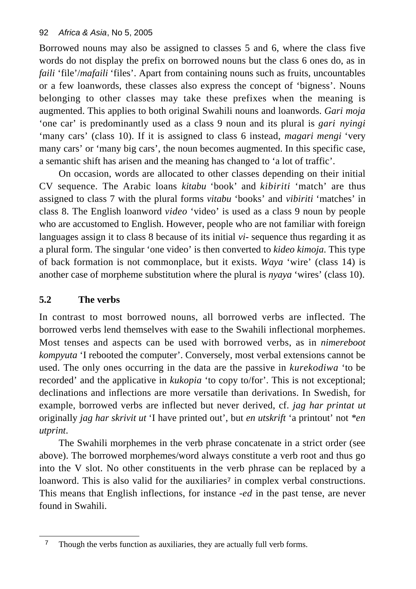Borrowed nouns may also be assigned to classes 5 and 6, where the class five words do not display the prefix on borrowed nouns but the class 6 ones do, as in *faili* 'file'/*mafaili* 'files'. Apart from containing nouns such as fruits, uncountables or a few loanwords, these classes also express the concept of 'bigness'. Nouns belonging to other classes may take these prefixes when the meaning is augmented. This applies to both original Swahili nouns and loanwords. *Gari moja* 'one car' is predominantly used as a class 9 noun and its plural is *gari nyingi* 'many cars' (class 10). If it is assigned to class 6 instead, *magari mengi* 'very many cars' or 'many big cars', the noun becomes augmented. In this specific case, a semantic shift has arisen and the meaning has changed to 'a lot of traffic'.

On occasion, words are allocated to other classes depending on their initial CV sequence. The Arabic loans *kitabu* 'book' and *kibiriti* 'match' are thus assigned to class 7 with the plural forms *vitabu* 'books' and *vibiriti* 'matches' in class 8. The English loanword *video* 'video' is used as a class 9 noun by people who are accustomed to English. However, people who are not familiar with foreign languages assign it to class 8 because of its initial *vi*- sequence thus regarding it as a plural form. The singular 'one video' is then converted to *kideo kimoja*. This type of back formation is not commonplace, but it exists. *Waya* 'wire' (class 14) is another case of morpheme substitution where the plural is *nyaya* 'wires' (class 10).

## **5.2 The verbs**

In contrast to most borrowed nouns, all borrowed verbs are inflected. The borrowed verbs lend themselves with ease to the Swahili inflectional morphemes. Most tenses and aspects can be used with borrowed verbs, as in *nimereboot kompyuta* 'I rebooted the computer'. Conversely, most verbal extensions cannot be used. The only ones occurring in the data are the passive in *kurekodiwa* 'to be recorded' and the applicative in *kukopia* 'to copy to/for'. This is not exceptional; declinations and inflections are more versatile than derivations. In Swedish, for example, borrowed verbs are inflected but never derived, cf. *jag har printat ut* originally *jag har skrivit ut* 'I have printed out', but *en utskrift* 'a printout' not *\*en utprint*.

The Swahili morphemes in the verb phrase concatenate in a strict order (see above). The borrowed morphemes/word always constitute a verb root and thus go into the V slot. No other constituents in the verb phrase can be replaced by a loanword. This is also valid for the auxiliaries<sup>7</sup> in complex verbal constructions. This means that English inflections, for instance -*ed* in the past tense, are never found in Swahili.

<sup>7</sup> Though the verbs function as auxiliaries, they are actually full verb forms.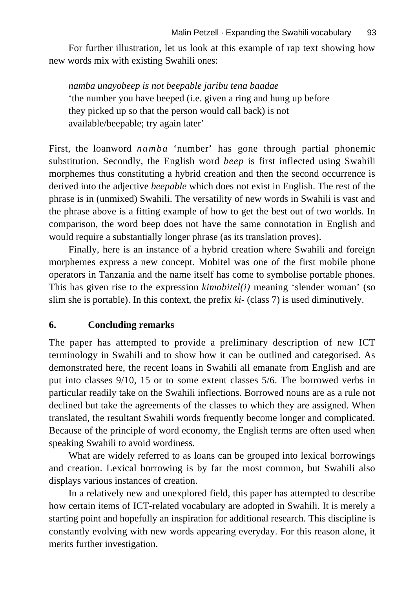For further illustration, let us look at this example of rap text showing how new words mix with existing Swahili ones:

*namba unayobeep is not beepable jaribu tena baadae* 'the number you have beeped (i.e. given a ring and hung up before they picked up so that the person would call back) is not available/beepable; try again later'

First, the loanword *namba* 'number' has gone through partial phonemic substitution. Secondly, the English word *beep* is first inflected using Swahili morphemes thus constituting a hybrid creation and then the second occurrence is derived into the adjective *beepable* which does not exist in English. The rest of the phrase is in (unmixed) Swahili. The versatility of new words in Swahili is vast and the phrase above is a fitting example of how to get the best out of two worlds. In comparison, the word beep does not have the same connotation in English and would require a substantially longer phrase (as its translation proves).

Finally, here is an instance of a hybrid creation where Swahili and foreign morphemes express a new concept. Mobitel was one of the first mobile phone operators in Tanzania and the name itself has come to symbolise portable phones. This has given rise to the expression *kimobitel(i)* meaning 'slender woman' (so slim she is portable). In this context, the prefix *ki*- (class 7) is used diminutively.

### **6. Concluding remarks**

The paper has attempted to provide a preliminary description of new ICT terminology in Swahili and to show how it can be outlined and categorised. As demonstrated here, the recent loans in Swahili all emanate from English and are put into classes 9/10, 15 or to some extent classes 5/6. The borrowed verbs in particular readily take on the Swahili inflections. Borrowed nouns are as a rule not declined but take the agreements of the classes to which they are assigned. When translated, the resultant Swahili words frequently become longer and complicated. Because of the principle of word economy, the English terms are often used when speaking Swahili to avoid wordiness.

What are widely referred to as loans can be grouped into lexical borrowings and creation. Lexical borrowing is by far the most common, but Swahili also displays various instances of creation.

In a relatively new and unexplored field, this paper has attempted to describe how certain items of ICT-related vocabulary are adopted in Swahili. It is merely a starting point and hopefully an inspiration for additional research. This discipline is constantly evolving with new words appearing everyday. For this reason alone, it merits further investigation.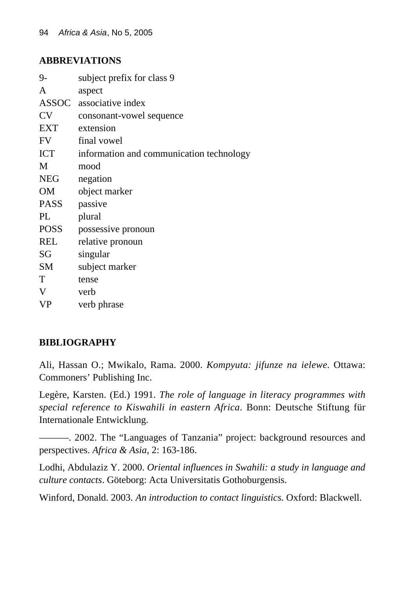## **ABBREVIATIONS**

| $9-$         | subject prefix for class 9               |
|--------------|------------------------------------------|
| $\mathsf{A}$ | aspect                                   |
|              | ASSOC associative index                  |
| <b>CV</b>    | consonant-vowel sequence                 |
| <b>EXT</b>   | extension                                |
| FV           | final vowel                              |
| ICT          | information and communication technology |
| M            | mood                                     |
| <b>NEG</b>   | negation                                 |
| <b>OM</b>    | object marker                            |
| <b>PASS</b>  | passive                                  |
| PL           | plural                                   |
| <b>POSS</b>  | possessive pronoun                       |
| <b>REL</b>   | relative pronoun                         |
| SG           | singular                                 |
| <b>SM</b>    | subject marker                           |
| T            | tense                                    |
| V            | verb                                     |
| <b>VP</b>    | verb phrase                              |

## **BIBLIOGRAPHY**

Ali, Hassan O.; Mwikalo, Rama. 2000. *Kompyuta: jifunze na ielewe*. Ottawa: Commoners' Publishing Inc.

Legère, Karsten. (Ed.) 1991. *The role of language in literacy programmes with special reference to Kiswahili in eastern Africa*. Bonn: Deutsche Stiftung für Internationale Entwicklung.

———. 2002. The "Languages of Tanzania" project: background resources and perspectives. *Africa & Asia*, 2: 163-186.

Lodhi, Abdulaziz Y. 2000. *Oriental influences in Swahili: a study in language and culture contacts*. Göteborg: Acta Universitatis Gothoburgensis.

Winford, Donald. 2003. *An introduction to contact linguistics*. Oxford: Blackwell.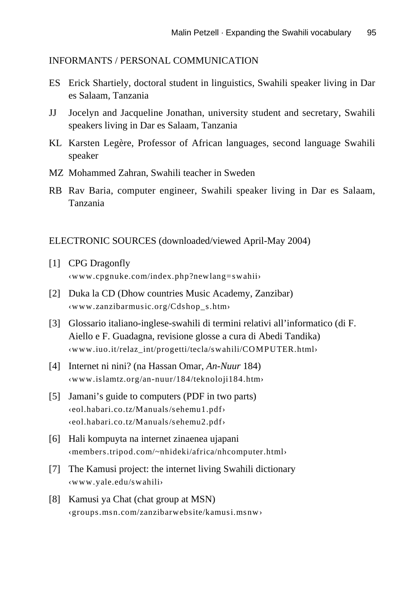#### INFORMANTS / PERSONAL COMMUNICATION

- ES Erick Shartiely, doctoral student in linguistics, Swahili speaker living in Dar es Salaam, Tanzania
- JJ Jocelyn and Jacqueline Jonathan, university student and secretary, Swahili speakers living in Dar es Salaam, Tanzania
- KL Karsten Legère, Professor of African languages, second language Swahili speaker
- MZ Mohammed Zahran, Swahili teacher in Sweden
- RB Rav Baria, computer engineer, Swahili speaker living in Dar es Salaam, Tanzania

#### ELECTRONIC SOURCES (downloaded/viewed April-May 2004)

- [1] CPG Dragonfly ‹www.cpgnuke.com/index.php?newlang=swahii›
- [2] Duka la CD (Dhow countries Music Academy, Zanzibar) ‹www.zanzibarmusic.org/Cdshop\_s.htm›
- [3] Glossario italiano-inglese-swahili di termini relativi all'informatico (di F. Aiello e F. Guadagna, revisione glosse a cura di Abedi Tandika) ‹www.iuo.it/relaz\_int/progetti/tecla/swahili/COMPUTER.html›
- [4] Internet ni nini? (na Hassan Omar, *An-Nuur* 184) ‹www.islamtz.org/an-nuur/184/teknoloji184.htm›
- [5] Jamani's guide to computers (PDF in two parts) ‹eol.habari.co.tz/Manuals/sehemu1.pdf› ‹eol.habari.co.tz/Manuals/sehemu2.pdf›
- [6] Hali kompuyta na internet zinaenea ujapani ‹members.tripod.com/~nhideki/africa/nhcomputer.html›
- [7] The Kamusi project: the internet living Swahili dictionary ‹www.yale.edu/swahili›
- [8] Kamusi ya Chat (chat group at MSN) ‹groups.msn.com/zanzibarwebsite/kamusi.msnw›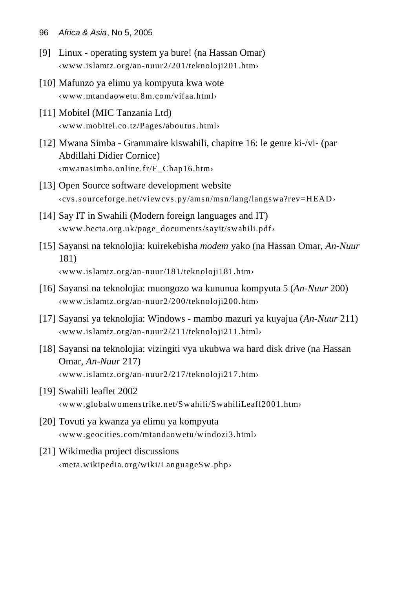- 96 *Africa & Asia*, No 5, 2005
- [9] Linux operating system ya bure! (na Hassan Omar) ‹www.islamtz.org/an-nuur2/201/teknoloji201.htm›
- [10] Mafunzo ya elimu ya kompyuta kwa wote ‹www.mtandaowetu.8m.com/vifaa.html›
- [11] Mobitel (MIC Tanzania Ltd) ‹www.mobitel.co.tz/Pages/aboutus.html›
- [12] Mwana Simba Grammaire kiswahili, chapitre 16: le genre ki-/vi- (par Abdillahi Didier Cornice) ‹mwanasimba.online.fr/F\_Chap16.htm›
- [13] Open Source software development website ‹cvs.sourceforge.net/viewcvs.py/amsn/msn/lang/langswa?rev=HEAD›
- [14] Say IT in Swahili (Modern foreign languages and IT) ‹www.becta.org.uk/page\_documents/sayit/swahili.pdf›
- [15] Sayansi na teknolojia: kuirekebisha *modem* yako (na Hassan Omar, *An-Nuur* 181) ‹www.islamtz.org/an-nuur/181/teknoloji181.htm›
- [16] Sayansi na teknolojia: muongozo wa kununua kompyuta 5 (*An-Nuur* 200) ‹www.islamtz.org/an-nuur2/200/teknoloji200.htm›
- [17] Sayansi ya teknolojia: Windows mambo mazuri ya kuyajua (*An-Nuur* 211) ‹www.islamtz.org/an-nuur2/211/teknoloji211.html›
- [18] Sayansi na teknolojia: vizingiti vya ukubwa wa hard disk drive (na Hassan Omar, *An-Nuur* 217) ‹www.islamtz.org/an-nuur2/217/teknoloji217.htm›
- [19] Swahili leaflet 2002 ‹www.globalwomenstrike.net/Swahili/SwahiliLeafl2001.htm›
- [20] Tovuti ya kwanza ya elimu ya kompyuta ‹www.geocities.com/mtandaowetu/windozi3.html›
- [21] Wikimedia project discussions ‹meta.wikipedia.org/wiki/LanguageSw.php›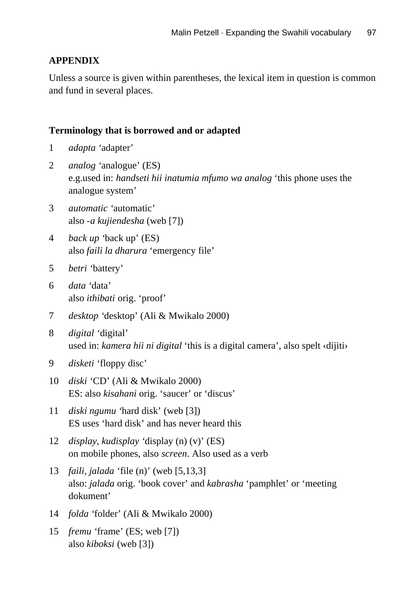#### **APPENDIX**

Unless a source is given within parentheses, the lexical item in question is common and fund in several places.

#### **Terminology that is borrowed and or adapted**

- 1 *adapta '*adapter'
- 2 *analog '*analogue' (ES) e.g.used in: *handseti hii inatumia mfumo wa analog* 'this phone uses the analogue system'
- 3 *automatic '*automatic' also -*a kujiendesha* (web [7])
- 4 *back up '*back up' (ES) also *faili la dharura* 'emergency file'
- 5 *betri '*battery'
- 6 *data '*data' also *ithibati* orig. 'proof'
- 7 *desktop '*desktop' (Ali & Mwikalo 2000)
- 8 *digital '*digital' used in: *kamera hii ni digital* 'this is a digital camera', also spelt ‹dijiti›
- 9 *disketi '*floppy disc'
- 10 *diski '*CD' (Ali & Mwikalo 2000) ES: also *kisahani* orig. 'saucer' or 'discus'
- 11 *diski ngumu '*hard disk' (web [3]) ES uses 'hard disk' and has never heard this
- 12 *display, kudisplay '*display (n) (v)' (ES) on mobile phones, also *screen*. Also used as a verb
- 13 *faili, jalada '*file (n)' (web [5,13,3] also: *jalada* orig. 'book cover' and *kabrasha* 'pamphlet' or 'meeting dokument'
- 14 *folda '*folder' (Ali & Mwikalo 2000)
- 15 *fremu '*frame' (ES; web [7]) also *kiboksi* (web [3])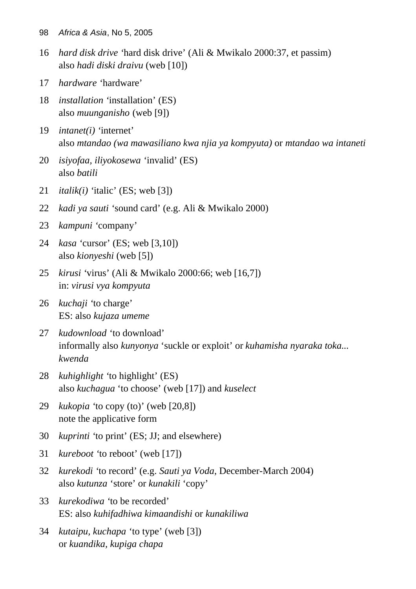- 16 *hard disk drive '*hard disk drive' (Ali & Mwikalo 2000:37, et passim) also *hadi diski draivu* (web [10])
- 17 *hardware '*hardware'
- 18 *installation '*installation' (ES) also *muunganisho* (web [9])
- 19 *intanet(i) '*internet' also *mtandao (wa mawasiliano kwa njia ya kompyuta)* or *mtandao wa intaneti*
- 20 *isiyofaa, iliyokosewa '*invalid' (ES) also *batili*
- 21 *italik(i) '*italic' (ES; web [3])
- 22 *kadi ya sauti '*sound card' (e.g. Ali & Mwikalo 2000)
- 23 *kampuni '*company'
- 24 *kasa '*cursor' (ES; web [3,10]) also *kionyeshi* (web [5])
- 25 *kirusi '*virus' (Ali & Mwikalo 2000:66; web [16,7]) in: *virusi vya kompyuta*
- 26 *kuchaji '*to charge' ES: also *kujaza umeme*
- 27 *kudownload '*to download' informally also *kunyonya* 'suckle or exploit' or *kuhamisha nyaraka toka... kwenda*
- 28 *kuhighlight '*to highlight' (ES) also *kuchagua* 'to choose' (web [17]) and *kuselect*
- 29 *kukopia '*to copy (to)' (web [20,8]) note the applicative form
- 30 *kuprinti '*to print' (ES; JJ; and elsewhere)
- 31 *kureboot '*to reboot' (web [17])
- 32 *kurekodi '*to record' (e.g. *Sauti ya Voda*, December-March 2004) also *kutunza* 'store' or *kunakili* 'copy'
- 33 *kurekodiwa '*to be recorded' ES: also *kuhifadhiwa kimaandishi* or *kunakiliwa*
- 34 *kutaipu, kuchapa '*to type' (web [3]) or *kuandika, kupiga chapa*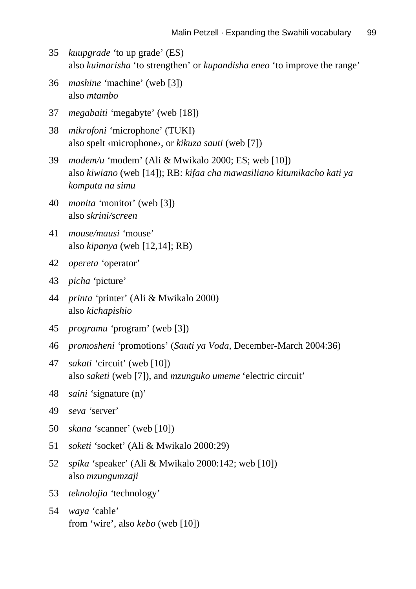- *kuupgrade '*to up grade' (ES) also *kuimarisha* 'to strengthen' or *kupandisha eneo* 'to improve the range'
- *mashine '*machine' (web [3]) also *mtambo*
- *megabaiti '*megabyte' (web [18])
- *mikrofoni '*microphone' (TUKI) also spelt ‹microphone›, or *kikuza sauti* (web [7])
- *modem/u '*modem' (Ali & Mwikalo 2000; ES; web [10]) also *kiwiano* (web [14]); RB: *kifaa cha mawasiliano kitumikacho kati ya komputa na simu*
- *monita '*monitor' (web [3]) also *skrini/screen*
- *mouse/mausi '*mouse' also *kipanya* (web [12,14]; RB)
- *opereta '*operator'
- *picha '*picture'
- *printa '*printer' (Ali & Mwikalo 2000) also *kichapishio*
- *programu '*program' (web [3])
- *promosheni '*promotions' (*Sauti ya Voda*, December-March 2004:36)
- *sakati '*circuit' (web [10]) also *saketi* (web [7]), and *mzunguko umeme* 'electric circuit'
- *saini '*signature (n)'
- *seva '*server'
- *skana '*scanner' (web [10])
- *soketi '*socket' (Ali & Mwikalo 2000:29)
- *spika '*speaker' (Ali & Mwikalo 2000:142; web [10]) also *mzungumzaji*
- *teknolojia '*technology'
- *waya '*cable' from 'wire', also *kebo* (web [10])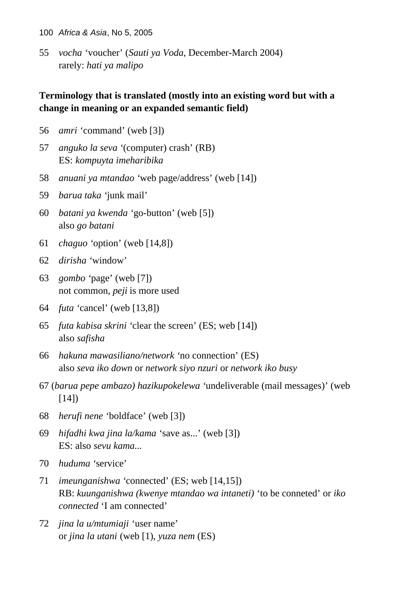55 *vocha '*voucher' (*Sauti ya Voda*, December-March 2004) rarely: *hati ya malipo*

## **Terminology that is translated (mostly into an existing word but with a change in meaning or an expanded semantic field)**

- 56 *amri '*command' (web [3])
- 57 *anguko la seva '*(computer) crash' (RB) ES: *kompuyta imeharibika*
- 58 *anuani ya mtandao '*web page/address' (web [14])
- 59 *barua taka '*junk mail'
- 60 *batani ya kwenda '*go-button' (web [5]) also *go batani*
- 61 *chaguo '*option' (web [14,8])
- 62 *dirisha '*window'
- 63 *gombo '*page' (web [7]) not common, *peji* is more used
- 64 *futa '*cancel' (web [13,8])
- 65 *futa kabisa skrini '*clear the screen' (ES; web [14]) also *safisha*
- 66 *hakuna mawasiliano/network '*no connection' (ES) also *seva iko down* or *network siyo nzuri* or *network iko busy*
- 67 (*barua pepe ambazo) hazikupokelewa '*undeliverable (mail messages)' (web [14])
- 68 *herufi nene '*boldface' (web [3])
- 69 *hifadhi kwa jina la/kama '*save as...' (web [3]) ES: also *sevu kama...*
- 70 *huduma '*service'
- 71 *imeunganishwa '*connected' (ES; web [14,15]) RB: *kuunganishwa (kwenye mtandao wa intaneti)* 'to be conneted' or *iko connected* 'I am connected'
- 72 *jina la u/mtumiaji '*user name' or *jina la utani* (web [1), *yuza nem* (ES)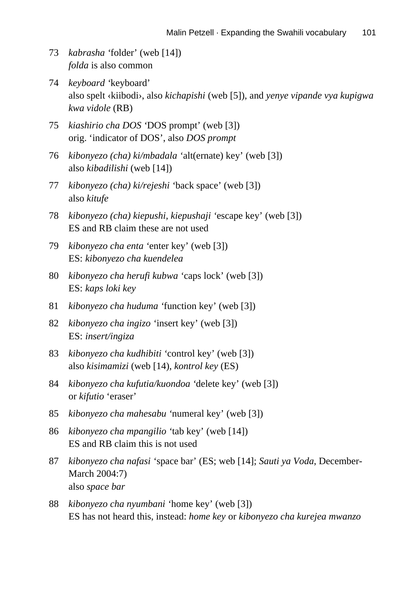- 73 *kabrasha '*folder' (web [14]) *folda* is also common
- 74 *keyboard '*keyboard' also spelt ‹kiibodi›, also *kichapishi* (web [5]), and *yenye vipande vya kupigwa kwa vidole* (RB)
- 75 *kiashirio cha DOS '*DOS prompt' (web [3]) orig. 'indicator of DOS', also *DOS prompt*
- 76 *kibonyezo (cha) ki/mbadala '*alt(ernate) key' (web [3]) also *kibadilishi* (web [14])
- 77 *kibonyezo (cha) ki/rejeshi '*back space' (web [3]) also *kitufe*
- 78 *kibonyezo (cha) kiepushi, kiepushaji '*escape key' (web [3]) ES and RB claim these are not used
- 79 *kibonyezo cha enta '*enter key' (web [3]) ES: *kibonyezo cha kuendelea*
- 80 *kibonyezo cha herufi kubwa '*caps lock' (web [3]) ES: *kaps loki key*
- 81 *kibonyezo cha huduma '*function key' (web [3])
- 82 *kibonyezo cha ingizo '*insert key' (web [3]) ES: *insert/ingiza*
- 83 *kibonyezo cha kudhibiti '*control key' (web [3]) also *kisimamizi* (web [14), *kontrol key* (ES)
- 84 *kibonyezo cha kufutia/kuondoa '*delete key' (web [3]) or *kifutio* 'eraser'
- 85 *kibonyezo cha mahesabu '*numeral key' (web [3])
- 86 *kibonyezo cha mpangilio '*tab key' (web [14]) ES and RB claim this is not used
- 87 *kibonyezo cha nafasi '*space bar' (ES; web [14]; *Sauti ya Voda*, December-March 2004:7) also *space bar*
- 88 *kibonyezo cha nyumbani '*home key' (web [3]) ES has not heard this, instead: *home key* or *kibonyezo cha kurejea mwanzo*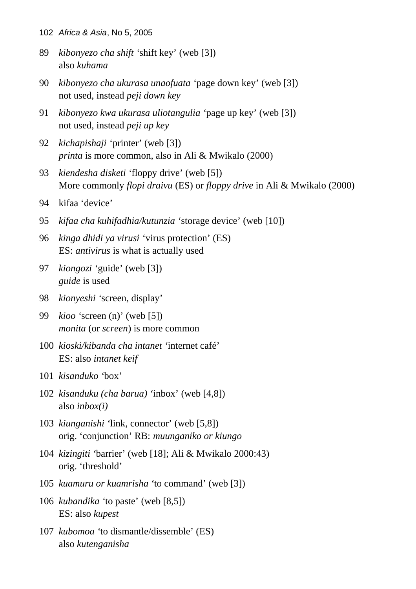- 89 *kibonyezo cha shift '*shift key' (web [3]) also *kuhama*
- 90 *kibonyezo cha ukurasa unaofuata '*page down key' (web [3]) not used, instead *peji down key*
- 91 *kibonyezo kwa ukurasa uliotangulia '*page up key' (web [3]) not used, instead *peji up key*
- 92 *kichapishaji '*printer' (web [3]) *printa* is more common, also in Ali & Mwikalo (2000)
- 93 *kiendesha disketi '*floppy drive' (web [5]) More commonly *flopi draivu* (ES) or *floppy drive* in Ali & Mwikalo (2000)
- 94 kifaa 'device'
- 95 *kifaa cha kuhifadhia/kutunzia '*storage device' (web [10])
- 96 *kinga dhidi ya virusi '*virus protection' (ES) ES: *antivirus* is what is actually used
- 97 *kiongozi '*guide' (web [3]) *guide* is used
- 98 *kionyeshi '*screen, display'
- 99 *kioo '*screen (n)' (web [5]) *monita* (or *screen*) is more common
- 100 *kioski/kibanda cha intanet '*internet café' ES: also *intanet keif*
- 101 *kisanduko '*box'
- 102 *kisanduku (cha barua) '*inbox' (web [4,8]) also *inbox(i)*
- 103 *kiunganishi '*link, connector' (web [5,8]) orig. 'conjunction' RB: *muunganiko or kiungo*
- 104 *kizingiti '*barrier' (web [18]; Ali & Mwikalo 2000:43) orig. 'threshold'
- 105 *kuamuru or kuamrisha '*to command' (web [3])
- 106 *kubandika '*to paste' (web [8,5]) ES: also *kupest*
- 107 *kubomoa '*to dismantle/dissemble' (ES) also *kutenganisha*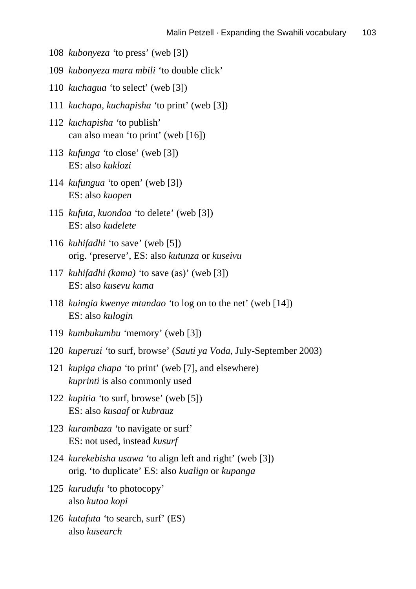- 108 *kubonyeza '*to press' (web [3])
- 109 *kubonyeza mara mbili '*to double click'
- 110 *kuchagua '*to select' (web [3])
- 111 *kuchapa, kuchapisha '*to print' (web [3])
- 112 *kuchapisha '*to publish' can also mean 'to print' (web [16])
- 113 *kufunga '*to close' (web [3]) ES: also *kuklozi*
- 114 *kufungua '*to open' (web [3]) ES: also *kuopen*
- 115 *kufuta, kuondoa '*to delete' (web [3]) ES: also *kudelete*
- 116 *kuhifadhi '*to save' (web [5]) orig. 'preserve', ES: also *kutunza* or *kuseivu*
- 117 *kuhifadhi (kama) '*to save (as)' (web [3]) ES: also *kusevu kama*
- 118 *kuingia kwenye mtandao '*to log on to the net' (web [14]) ES: also *kulogin*
- 119 *kumbukumbu '*memory' (web [3])
- 120 *kuperuzi '*to surf, browse' (*Sauti ya Voda*, July-September 2003)
- 121 *kupiga chapa '*to print' (web [7], and elsewhere) *kuprinti* is also commonly used
- 122 *kupitia '*to surf, browse' (web [5]) ES: also *kusaaf* or *kubrauz*
- 123 *kurambaza '*to navigate or surf' ES: not used, instead *kusurf*
- 124 *kurekebisha usawa '*to align left and right' (web [3]) orig. 'to duplicate' ES: also *kualign* or *kupanga*
- 125 *kurudufu '*to photocopy' also *kutoa kopi*
- 126 *kutafuta '*to search, surf' (ES) also *kusearch*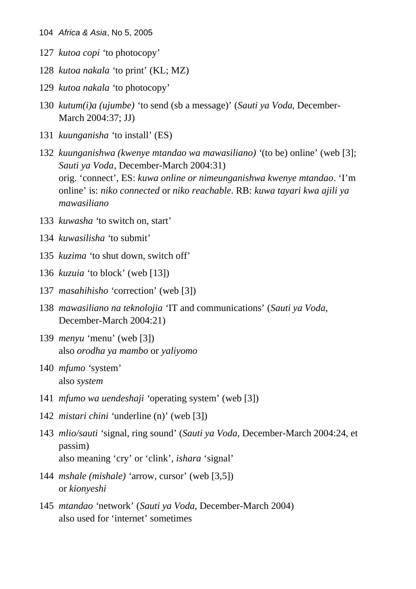- *Africa & Asia*, No 5, 2005
- *kutoa copi '*to photocopy'
- *kutoa nakala '*to print' (KL; MZ)
- *kutoa nakala '*to photocopy'
- *kutum(i)a (ujumbe) '*to send (sb a message)' (*Sauti ya Voda*, December-March 2004:37; JJ)
- *kuunganisha '*to install' (ES)
- *kuunganishwa (kwenye mtandao wa mawasiliano) '*(to be) online' (web [3]; *Sauti ya Voda*, December-March 2004:31) orig. 'connect', ES: *kuwa online or nimeunganishwa kwenye mtandao*. 'I'm online' is: *niko connected* or *niko reachable*. RB: *kuwa tayari kwa ajili ya mawasiliano*
- *kuwasha '*to switch on, start'
- *kuwasilisha '*to submit'
- *kuzima '*to shut down, switch off'
- *kuzuia '*to block' (web [13])
- *masahihisho '*correction' (web [3])
- *mawasiliano na teknolojia '*IT and communications' (*Sauti ya Voda*, December-March 2004:21)
- *menyu '*menu' (web [3]) also *orodha ya mambo* or *yaliyomo*
- *mfumo '*system' also *system*
- *mfumo wa uendeshaji '*operating system' (web [3])
- *mistari chini '*underline (n)' (web [3])
- *mlio/sauti '*signal, ring sound' (*Sauti ya Voda*, December-March 2004:24, et passim) also meaning 'cry' or 'clink', *ishara* 'signal'
- *mshale (mishale) '*arrow, cursor' (web [3,5]) or *kionyeshi*
- *mtandao '*network' (*Sauti ya Voda*, December-March 2004) also used for 'internet' sometimes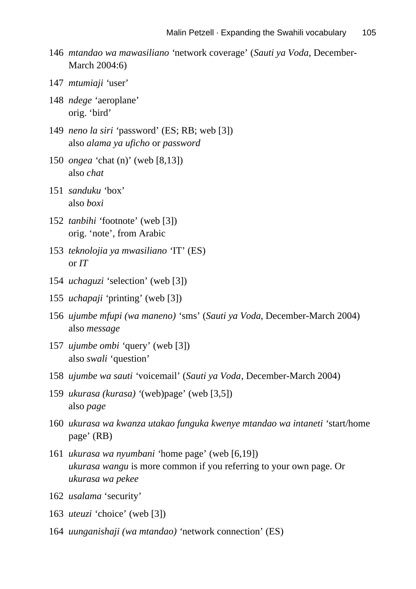- 146 *mtandao wa mawasiliano '*network coverage' (*Sauti ya Voda*, December-March 2004:6)
- 147 *mtumiaji '*user'
- 148 *ndege '*aeroplane' orig. 'bird'
- 149 *neno la siri '*password' (ES; RB; web [3]) also *alama ya uficho* or *password*
- 150 *ongea '*chat (n)' (web [8,13]) also *chat*
- 151 *sanduku '*box' also *boxi*
- 152 *tanbihi '*footnote' (web [3]) orig. 'note', from Arabic
- 153 *teknolojia ya mwasiliano '*IT' (ES) or *IT*
- 154 *uchaguzi '*selection' (web [3])
- 155 *uchapaji '*printing' (web [3])
- 156 *ujumbe mfupi (wa maneno) '*sms' (*Sauti ya Voda*, December-March 2004) also *message*
- 157 *ujumbe ombi '*query' (web [3]) also *swali* 'question'
- 158 *ujumbe wa sauti '*voicemail' (*Sauti ya Voda*, December-March 2004)
- 159 *ukurasa (kurasa) '*(web)page' (web [3,5]) also *page*
- 160 *ukurasa wa kwanza utakao funguka kwenye mtandao wa intaneti '*start/home page' (RB)
- 161 *ukurasa wa nyumbani '*home page' (web [6,19]) *ukurasa wangu* is more common if you referring to your own page. Or *ukurasa wa pekee*
- 162 *usalama* 'security'
- 163 *uteuzi '*choice' (web [3])
- 164 *uunganishaji (wa mtandao) '*network connection' (ES)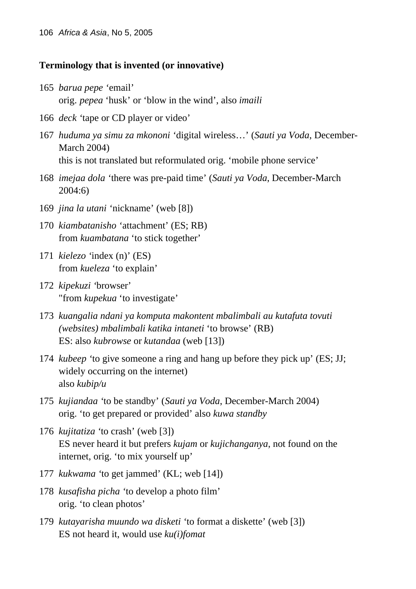#### **Terminology that is invented (or innovative)**

- 165 *barua pepe '*email' orig. *pepea* 'husk' or 'blow in the wind', also *imaili*
- 166 *deck '*tape or CD player or video'
- 167 *huduma ya simu za mkononi '*digital wireless…' (*Sauti ya Voda*, December-March 2004) this is not translated but reformulated orig. 'mobile phone service'
- 168 *imejaa dola '*there was pre-paid time' (*Sauti ya Voda*, December-March 2004:6)
- 169 *jina la utani '*nickname' (web [8])
- 170 *kiambatanisho '*attachment' (ES; RB) from *kuambatana* 'to stick together'
- 171 *kielezo '*index (n)' (ES) from *kueleza* 'to explain'
- 172 *kipekuzi '*browser' "from *kupekua* 'to investigate'
- 173 *kuangalia ndani ya komputa makontent mbalimbali au kutafuta tovuti (websites) mbalimbali katika intaneti* 'to browse' (RB) ES: also *kubrowse* or *kutandaa* (web [13])
- 174 *kubeep '*to give someone a ring and hang up before they pick up' (ES; JJ; widely occurring on the internet) also *kubip/u*
- 175 *kujiandaa '*to be standby' (*Sauti ya Voda*, December-March 2004) orig. 'to get prepared or provided' also *kuwa standby*
- 176 *kujitatiza '*to crash' (web [3]) ES never heard it but prefers *kujam* or *kujichanganya*, not found on the internet, orig. 'to mix yourself up'
- 177 *kukwama '*to get jammed' (KL; web [14])
- 178 *kusafisha picha '*to develop a photo film' orig. 'to clean photos'
- 179 *kutayarisha muundo wa disketi '*to format a diskette' (web [3]) ES not heard it, would use *ku(i)fomat*